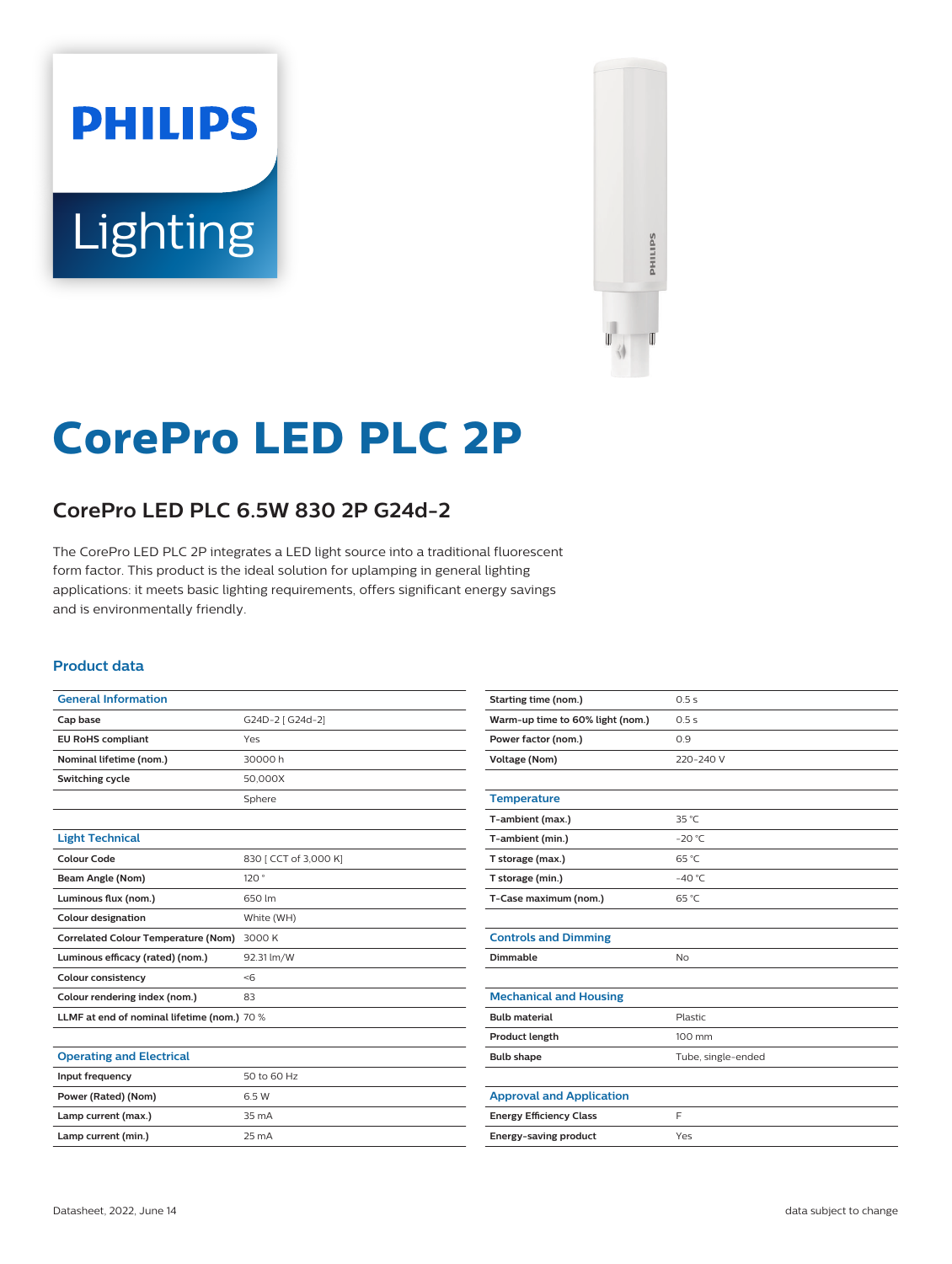# **PHILIPS** Lighting



# **CorePro LED PLC 2P**

# **CorePro LED PLC 6.5W 830 2P G24d-2**

The CorePro LED PLC 2P integrates a LED light source into a traditional fluorescent form factor. This product is the ideal solution for uplamping in general lighting applications: it meets basic lighting requirements, offers significant energy savings and is environmentally friendly.

#### **Product data**

| <b>General Information</b>                  |                       |  |  |  |
|---------------------------------------------|-----------------------|--|--|--|
| Cap base                                    | G24D-2 [ G24d-2]      |  |  |  |
| <b>EU RoHS compliant</b>                    | Yes                   |  |  |  |
| Nominal lifetime (nom.)                     | 30000h                |  |  |  |
| Switching cycle                             | 50,000X               |  |  |  |
|                                             | Sphere                |  |  |  |
|                                             |                       |  |  |  |
| <b>Light Technical</b>                      |                       |  |  |  |
| Colour Code                                 | 830   CCT of 3,000 K] |  |  |  |
| Beam Angle (Nom)                            | 120°                  |  |  |  |
| Luminous flux (nom.)                        | 650 lm                |  |  |  |
| <b>Colour designation</b>                   | White (WH)            |  |  |  |
| <b>Correlated Colour Temperature (Nom)</b>  | 3000 K                |  |  |  |
| Luminous efficacy (rated) (nom.)            | 92.31 lm/W            |  |  |  |
| <b>Colour consistency</b>                   | < 6                   |  |  |  |
| Colour rendering index (nom.)               | 83                    |  |  |  |
| LLMF at end of nominal lifetime (nom.) 70 % |                       |  |  |  |
|                                             |                       |  |  |  |

#### **Operating and Electrical Input frequency** 50 to 60 Hz **Power (Rated) (Nom)** 6.5 W **Lamp current (max.)** 35 mA **Lamp current (min.)** 25 mA

| Starting time (nom.)             | 0.5s               |  |  |  |  |
|----------------------------------|--------------------|--|--|--|--|
| Warm-up time to 60% light (nom.) | 0.5s               |  |  |  |  |
| Power factor (nom.)              | 0.9                |  |  |  |  |
| <b>Voltage (Nom)</b>             | 220-240 V          |  |  |  |  |
|                                  |                    |  |  |  |  |
| <b>Temperature</b>               |                    |  |  |  |  |
| T-ambient (max.)                 | $35^{\circ}$ C     |  |  |  |  |
| T-ambient (min.)                 | $-20$ °C           |  |  |  |  |
| T storage (max.)                 | 65 °C              |  |  |  |  |
| T storage (min.)                 | $-40 °C$           |  |  |  |  |
| T-Case maximum (nom.)            | 65 °C              |  |  |  |  |
|                                  |                    |  |  |  |  |
| <b>Controls and Dimming</b>      |                    |  |  |  |  |
| Dimmable                         | No                 |  |  |  |  |
|                                  |                    |  |  |  |  |
| <b>Mechanical and Housing</b>    |                    |  |  |  |  |
| <b>Bulb material</b>             | Plastic            |  |  |  |  |
| Product length                   | 100 mm             |  |  |  |  |
| <b>Bulb shape</b>                | Tube, single-ended |  |  |  |  |
|                                  |                    |  |  |  |  |
| <b>Approval and Application</b>  |                    |  |  |  |  |
| <b>Energy Efficiency Class</b>   | F                  |  |  |  |  |
| <b>Energy-saving product</b>     | Yes                |  |  |  |  |
|                                  |                    |  |  |  |  |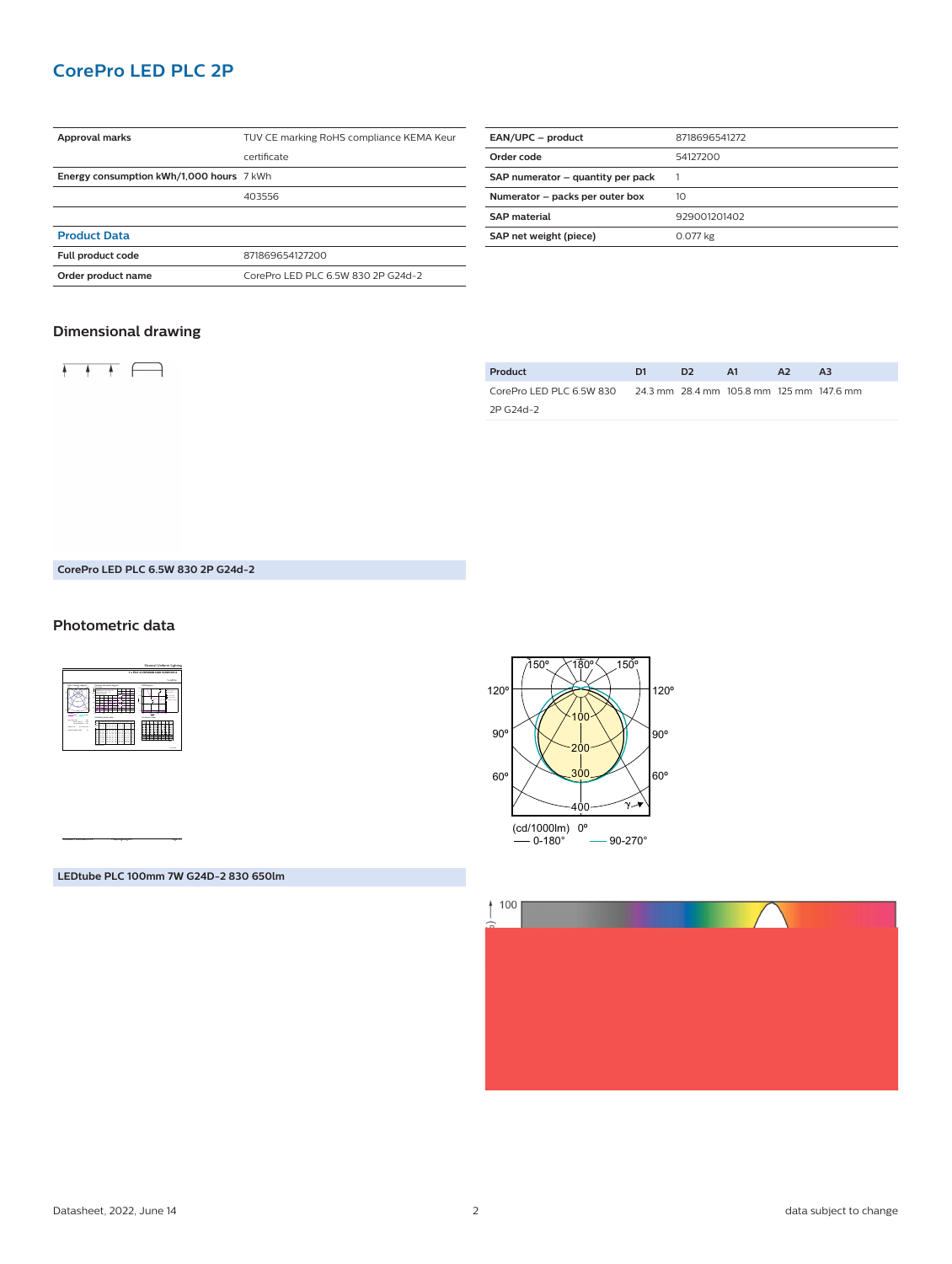# **CorePro LED PLC 2P**

| Approval marks                           | TUV CE marking RoHS compliance KEMA Keur |  |  |
|------------------------------------------|------------------------------------------|--|--|
|                                          | certificate                              |  |  |
| Energy consumption kWh/1,000 hours 7 kWh |                                          |  |  |
|                                          | 403556                                   |  |  |
|                                          |                                          |  |  |
| <b>Product Data</b>                      |                                          |  |  |
| Full product code                        | 871869654127200                          |  |  |
| Order product name                       | CorePro LED PLC 6.5W 830 2P G24d-2       |  |  |
|                                          |                                          |  |  |

| EAN/UPC - product                 | 8718696541272 |
|-----------------------------------|---------------|
| Order code                        | 54127200      |
| SAP numerator - quantity per pack |               |
| Numerator - packs per outer box   | 10            |
| <b>SAP</b> material               | 929001201402  |
| SAP net weight (piece)            | 0.077 kg      |
|                                   |               |

#### **Dimensional drawing**



| Product                  | D1 | D <sub>2</sub> | <b>A1</b>                                | A <sub>2</sub> | A3 |
|--------------------------|----|----------------|------------------------------------------|----------------|----|
| CorePro LED PLC 6.5W 830 |    |                | 24.3 mm 28.4 mm 105.8 mm 125 mm 147.6 mm |                |    |
| 2P G24d-2                |    |                |                                          |                |    |

#### **CorePro LED PLC 6.5W 830 2P G24d-2**

#### **Photometric data**



CalcuLuX Photometrics 4.5 Philips Lighting B.V. Page: 1/1

**LEDtube PLC 100mm 7W G24D-2 830 650lm**



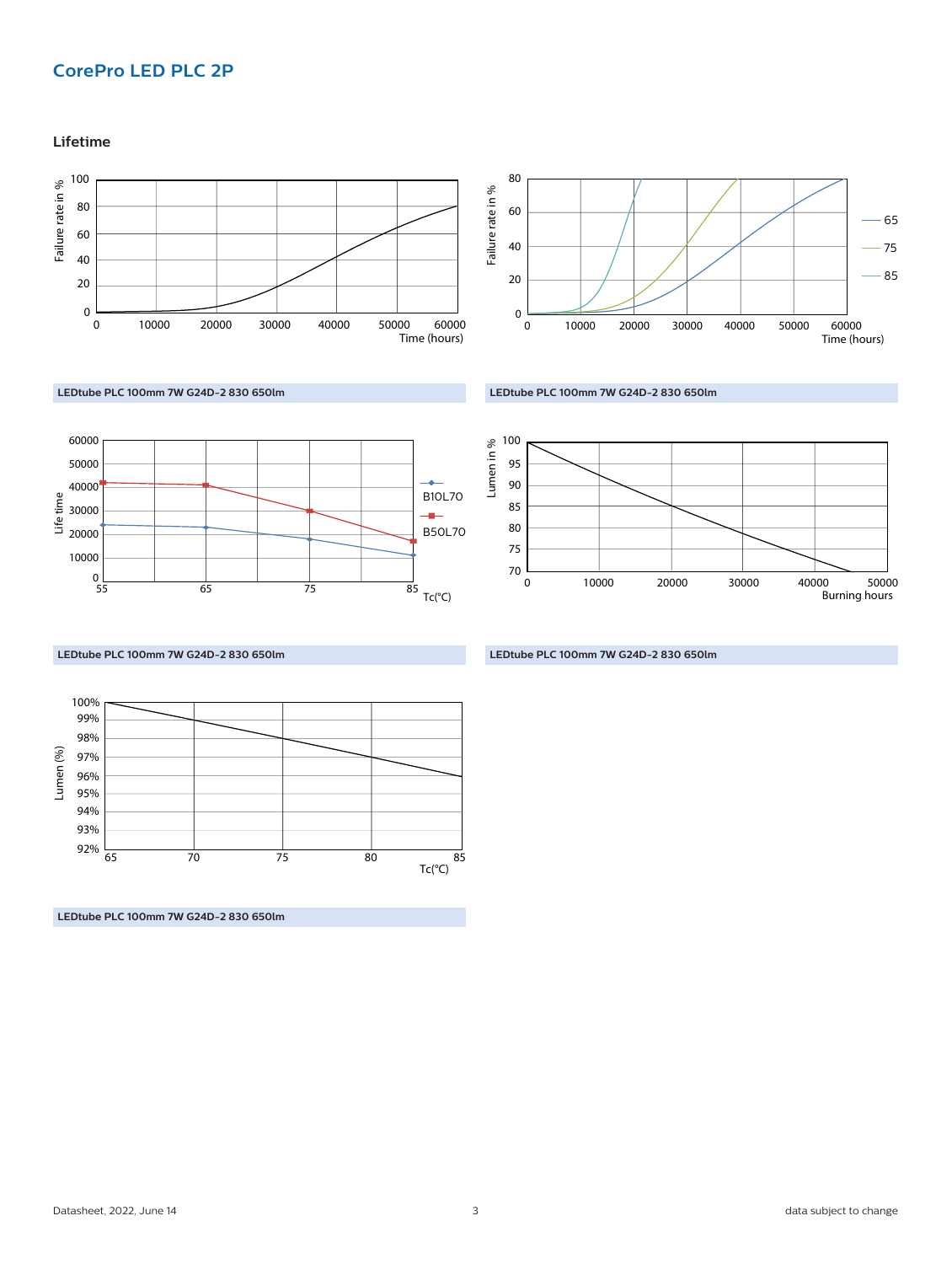# **CorePro LED PLC 2P**

**Lifetime**







**LEDtube PLC 100mm 7W G24D-2 830 650lm**



Lumen in % 70 80 75 85 90 95 100 0 10000 20000 Burning hours 30000 40000 50000

**LEDtube PLC 100mm 7W G24D-2 830 650lm**

Lumen (%) 94% Tc(°C) 65 75 85 70 80 95% 96% 97% 98% 99% 100% 93% 92%

**LEDtube PLC 100mm 7W G24D-2 830 650lm**

**LEDtube PLC 100mm 7W G24D-2 830 650lm**